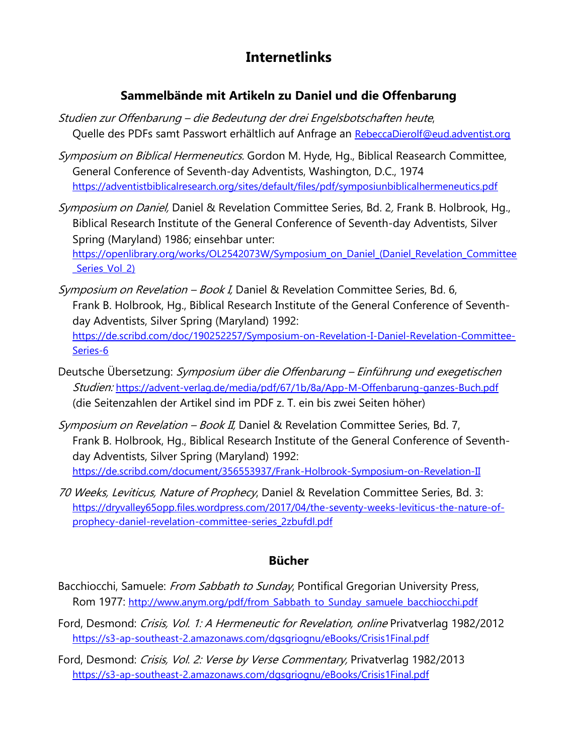# **Internetlinks**

## **Sammelbände mit Artikeln zu Daniel und die Offenbarung**

- Studien zur Offenbarung die Bedeutung der drei Engelsbotschaften heute, Quelle des PDFs samt Passwort erhältlich auf Anfrage an [RebeccaDierolf@eud.adventist.org](mailto:RebeccaDierolf@eud.adventist.org)
- Symposium on Biblical Hermeneutics. Gordon M. Hyde, Hg., Biblical Reasearch Committee, General Conference of Seventh-day Adventists, Washington, D.C., 1974 <https://adventistbiblicalresearch.org/sites/default/files/pdf/symposiunbiblicalhermeneutics.pdf>
- Symposium on Daniel, Daniel & Revelation Committee Series, Bd. 2, Frank B. Holbrook, Hg., Biblical Research Institute of the General Conference of Seventh-day Adventists, Silver Spring (Maryland) 1986; einsehbar unter: [https://openlibrary.org/works/OL2542073W/Symposium\\_on\\_Daniel\\_\(Daniel\\_Revelation\\_Committee](https://openlibrary.org/works/OL2542073W/Symposium_on_Daniel_(Daniel_Revelation_Committee_Series_Vol_2))

Series Vol 2)

- Symposium on Revelation Book I, Daniel & Revelation Committee Series, Bd. 6, Frank B. Holbrook, Hg., Biblical Research Institute of the General Conference of Seventhday Adventists, Silver Spring (Maryland) 1992: [https://de.scribd.com/doc/190252257/Symposium-on-Revelation-I-Daniel-Revelation-Committee-](https://de.scribd.com/doc/190252257/Symposium-on-Revelation-I-Daniel-Revelation-Committee-Series-6)[Series-6](https://de.scribd.com/doc/190252257/Symposium-on-Revelation-I-Daniel-Revelation-Committee-Series-6)
- Deutsche Übersetzung: Symposium über die Offenbarung Einführung und exegetischen Studien: <https://advent-verlag.de/media/pdf/67/1b/8a/App-M-Offenbarung-ganzes-Buch.pdf> (die Seitenzahlen der Artikel sind im PDF z. T. ein bis zwei Seiten höher)
- Symposium on Revelation Book II, Daniel & Revelation Committee Series, Bd. 7, Frank B. Holbrook, Hg., Biblical Research Institute of the General Conference of Seventhday Adventists, Silver Spring (Maryland) 1992: <https://de.scribd.com/document/356553937/Frank-Holbrook-Symposium-on-Revelation-II>
- 70 Weeks, Leviticus, Nature of Prophecy, Daniel & Revelation Committee Series, Bd. 3: [https://dryvalley65opp.files.wordpress.com/2017/04/the-seventy-weeks-leviticus-the-nature-of](https://dryvalley65opp.files.wordpress.com/2017/04/the-seventy-weeks-leviticus-the-nature-of-prophecy-daniel-revelation-committee-series_2zbufdl.pdf)[prophecy-daniel-revelation-committee-series\\_2zbufdl.pdf](https://dryvalley65opp.files.wordpress.com/2017/04/the-seventy-weeks-leviticus-the-nature-of-prophecy-daniel-revelation-committee-series_2zbufdl.pdf)

#### **Bücher**

- Bacchiocchi, Samuele: From Sabbath to Sunday, Pontifical Gregorian University Press, Rom 1977: http://www.anym.org/pdf/from Sabbath\_to\_Sunday\_samuele\_bacchiocchi.pdf
- Ford, Desmond: Crisis, Vol. 1: A Hermeneutic for Revelation, online Privatverlag 1982/2012 <https://s3-ap-southeast-2.amazonaws.com/dgsgriognu/eBooks/Crisis1Final.pdf>
- Ford, Desmond: Crisis, Vol. 2: Verse by Verse Commentary, Privatverlag 1982/2013 <https://s3-ap-southeast-2.amazonaws.com/dgsgriognu/eBooks/Crisis1Final.pdf>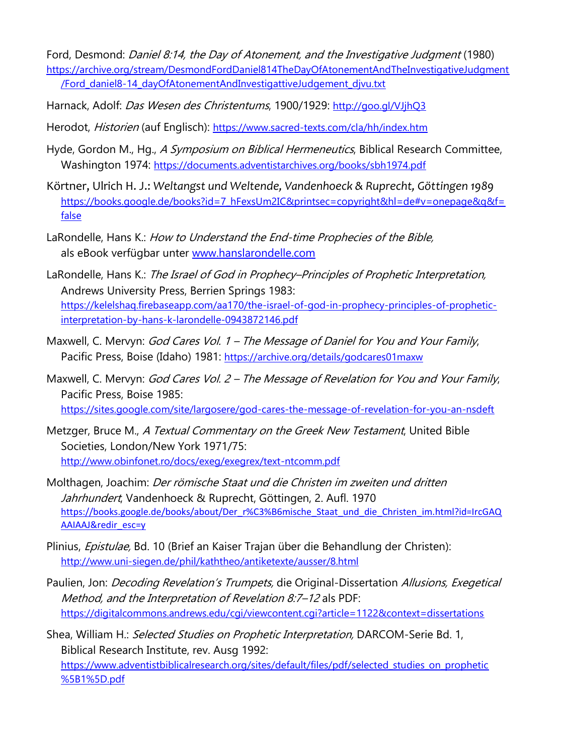Ford, Desmond: Daniel 8:14, the Day of Atonement, and the Investigative Judgment (1980) [https://archive.org/stream/DesmondFordDaniel814TheDayOfAtonementAndTheInvestigativeJudgment](https://archive.org/stream/DesmondFordDaniel814TheDayOfAtonementAndTheInvestigativeJudgment/Ford_daniel8-14_dayOfAtonementAndInvestigattiveJudgement_djvu.txt) [/Ford\\_daniel8-14\\_dayOfAtonementAndInvestigattiveJudgement\\_djvu.txt](https://archive.org/stream/DesmondFordDaniel814TheDayOfAtonementAndTheInvestigativeJudgment/Ford_daniel8-14_dayOfAtonementAndInvestigattiveJudgement_djvu.txt)

- Harnack, Adolf: Das Wesen des Christentums, 1900/1929: <http://goo.gl/VJjhQ3>
- Herodot, Historien (auf Englisch): <https://www.sacred-texts.com/cla/hh/index.htm>
- Hyde, Gordon M., Hg., A Symposium on Biblical Hermeneutics, Biblical Research Committee, Washington 1974: <https://documents.adventistarchives.org/books/sbh1974.pdf>
- Körtner, Ulrich H. J.: *Weltangst und Weltende, Vandenhoeck & Ruprecht, Göttingen 1989* [https://books.google.de/books?id=7\\_hFexsUm2IC&printsec=copyright&hl=de#v=onepage&q&f=](https://books.google.de/books?id=7_hFexsUm2IC&printsec=copyright&hl=de#v=onepage&q&f=false) [false](https://books.google.de/books?id=7_hFexsUm2IC&printsec=copyright&hl=de#v=onepage&q&f=false)
- LaRondelle, Hans K.: How to Understand the End-time Prophecies of the Bible, als eBook verfügbar unter [www.hanslarondelle.com](http://www.hanslarondelle.com/)
- LaRondelle, Hans K.: The Israel of God in Prophecy-Principles of Prophetic Interpretation, Andrews University Press, Berrien Springs 1983: [https://kelelshaq.firebaseapp.com/aa170/the-israel-of-god-in-prophecy-principles-of-prophetic](https://kelelshaq.firebaseapp.com/aa170/the-israel-of-god-in-prophecy-principles-of-prophetic-interpretation-by-hans-k-larondelle-0943872146.pdf)[interpretation-by-hans-k-larondelle-0943872146.pdf](https://kelelshaq.firebaseapp.com/aa170/the-israel-of-god-in-prophecy-principles-of-prophetic-interpretation-by-hans-k-larondelle-0943872146.pdf)
- Maxwell, C. Mervyn: God Cares Vol. 1 The Message of Daniel for You and Your Family, Pacific Press, Boise (Idaho) 1981: <https://archive.org/details/godcares01maxw>
- Maxwell, C. Mervyn: God Cares Vol. 2 The Message of Revelation for You and Your Family, Pacific Press, Boise 1985: <https://sites.google.com/site/largosere/god-cares-the-message-of-revelation-for-you-an-nsdeft>
- Metzger, Bruce M., A Textual Commentary on the Greek New Testament, United Bible Societies, London/New York 1971/75: <http://www.obinfonet.ro/docs/exeg/exegrex/text-ntcomm.pdf>
- Molthagen, Joachim: Der römische Staat und die Christen im zweiten und dritten Jahrhundert, Vandenhoeck & Ruprecht, Göttingen, 2. Aufl. 1970 [https://books.google.de/books/about/Der\\_r%C3%B6mische\\_Staat\\_und\\_die\\_Christen\\_im.html?id=IrcGAQ](https://books.google.de/books/about/Der_r%C3%B6mische_Staat_und_die_Christen_im.html?id=IrcGAQAAIAAJ&redir_esc=y) [AAIAAJ&redir\\_esc=y](https://books.google.de/books/about/Der_r%C3%B6mische_Staat_und_die_Christen_im.html?id=IrcGAQAAIAAJ&redir_esc=y)
- Plinius, Epistulae, Bd. 10 (Brief an Kaiser Trajan über die Behandlung der Christen): <http://www.uni-siegen.de/phil/kaththeo/antiketexte/ausser/8.html>
- Paulien, Jon: Decoding Revelation's Trumpets, die Original-Dissertation Allusions, Exegetical Method, and the Interpretation of Revelation 8:7–12 als PDF: <https://digitalcommons.andrews.edu/cgi/viewcontent.cgi?article=1122&context=dissertations>

Shea, William H.: Selected Studies on Prophetic Interpretation, DARCOM-Serie Bd. 1, Biblical Research Institute, rev. Ausg 1992: [https://www.adventistbiblicalresearch.org/sites/default/files/pdf/selected\\_studies\\_on\\_prophetic](https://www.adventistbiblicalresearch.org/sites/default/files/pdf/selected_studies_on_prophetic%5B1%5D.pdf) [%5B1%5D.pdf](https://www.adventistbiblicalresearch.org/sites/default/files/pdf/selected_studies_on_prophetic%5B1%5D.pdf)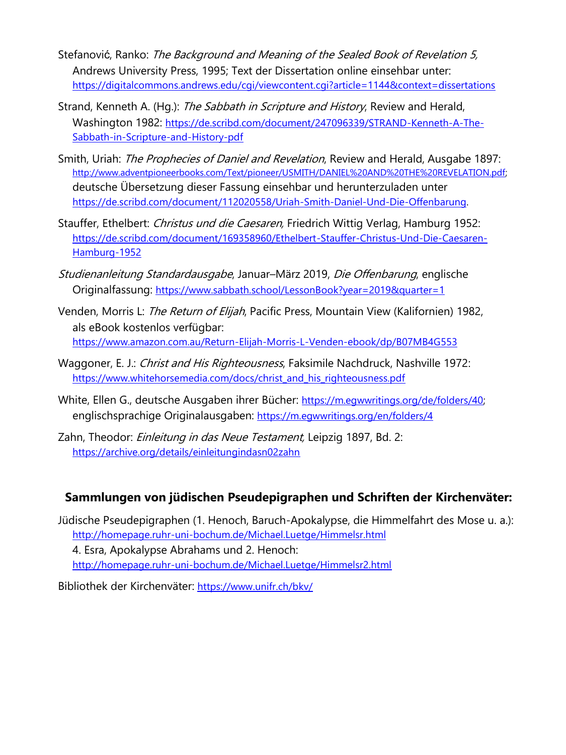- Stefanović, Ranko: The Background and Meaning of the Sealed Book of Revelation 5, Andrews University Press, 1995; Text der Dissertation online einsehbar unter: <https://digitalcommons.andrews.edu/cgi/viewcontent.cgi?article=1144&context=dissertations>
- Strand, Kenneth A. (Hg.): The Sabbath in Scripture and History, Review and Herald, Washington 1982: [https://de.scribd.com/document/247096339/STRAND-Kenneth-A-The-](https://de.scribd.com/document/247096339/STRAND-Kenneth-A-The-Sabbath-in-Scripture-and-History-pdf)[Sabbath-in-Scripture-and-History-pdf](https://de.scribd.com/document/247096339/STRAND-Kenneth-A-The-Sabbath-in-Scripture-and-History-pdf)
- Smith, Uriah: The Prophecies of Daniel and Revelation, Review and Herald, Ausgabe 1897: [http://www.adventpioneerbooks.com/Text/pioneer/USMITH/DANIEL%20AND%20THE%20REVELATION.pdf;](http://www.adventpioneerbooks.com/Text/pioneer/USMITH/DANIEL%20AND%20THE%20REVELATION.pdf) deutsche Übersetzung dieser Fassung einsehbar und herunterzuladen unter [https://de.scribd.com/document/112020558/Uriah-Smith-Daniel-Und-Die-Offenbarung.](https://de.scribd.com/document/112020558/Uriah-Smith-Daniel-Und-Die-Offenbarung)
- Stauffer, Ethelbert: Christus und die Caesaren, Friedrich Wittig Verlag, Hamburg 1952: [https://de.scribd.com/document/169358960/Ethelbert-Stauffer-Christus-Und-Die-Caesaren-](https://de.scribd.com/document/169358960/Ethelbert-Stauffer-Christus-Und-Die-Caesaren-Hamburg-1952)[Hamburg-1952](https://de.scribd.com/document/169358960/Ethelbert-Stauffer-Christus-Und-Die-Caesaren-Hamburg-1952)
- Studienanleitung Standardausgabe, Januar–März 2019, Die Offenbarung, englische Originalfassung: <https://www.sabbath.school/LessonBook?year=2019&quarter=1>
- Venden, Morris L: The Return of Elijah, Pacific Press, Mountain View (Kalifornien) 1982, als eBook kostenlos verfügbar: <https://www.amazon.com.au/Return-Elijah-Morris-L-Venden-ebook/dp/B07MB4G553>
- Waggoner, E. J.: Christ and His Righteousness, Faksimile Nachdruck, Nashville 1972: [https://www.whitehorsemedia.com/docs/christ\\_and\\_his\\_righteousness.pdf](https://www.whitehorsemedia.com/docs/christ_and_his_righteousness.pdf)
- White, Ellen G., deutsche Ausgaben ihrer Bücher: [https://m.egwwritings.org/de/folders/40;](https://m.egwwritings.org/de/folders/40) englischsprachige Originalausgaben: <https://m.egwwritings.org/en/folders/4>
- Zahn, Theodor: *Einleitung in das Neue Testament*, Leipzig 1897, Bd. 2: <https://archive.org/details/einleitungindasn02zahn>

#### **Sammlungen von jüdischen Pseudepigraphen und Schriften der Kirchenväter:**

Jüdische Pseudepigraphen (1. Henoch, Baruch-Apokalypse, die Himmelfahrt des Mose u. a.): <http://homepage.ruhr-uni-bochum.de/Michael.Luetge/Himmelsr.html> 4. Esra, Apokalypse Abrahams und 2. Henoch: <http://homepage.ruhr-uni-bochum.de/Michael.Luetge/Himmelsr2.html>

Bibliothek der Kirchenväter: <https://www.unifr.ch/bkv/>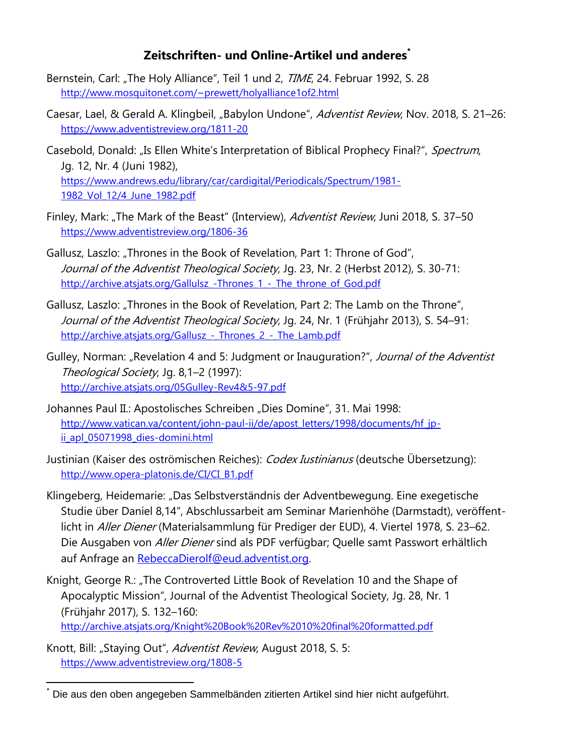## **Zeitschriften- und Online-Artikel und anderes\***

- Bernstein, Carl: "The Holy Alliance", Teil 1 und 2, TIME, 24. Februar 1992, S. 28 <http://www.mosquitonet.com/~prewett/holyalliance1of2.html>
- Caesar, Lael, & Gerald A. Klingbeil, "Babylon Undone", Adventist Review, Nov. 2018, S. 21–26: <https://www.adventistreview.org/1811-20>
- Casebold, Donald: "Is Ellen White's Interpretation of Biblical Prophecy Final?", Spectrum, Jg. 12, Nr. 4 (Juni 1982), [https://www.andrews.edu/library/car/cardigital/Periodicals/Spectrum/1981-](https://www.andrews.edu/library/car/cardigital/Periodicals/Spectrum/1981-1982_Vol_12/4_June_1982.pdf) [1982\\_Vol\\_12/4\\_June\\_1982.pdf](https://www.andrews.edu/library/car/cardigital/Periodicals/Spectrum/1981-1982_Vol_12/4_June_1982.pdf)
- Finley, Mark: "The Mark of the Beast" (Interview), *Adventist Review*, Juni 2018, S. 37–50 <https://www.adventistreview.org/1806-36>
- Gallusz, Laszlo: "Thrones in the Book of Revelation, Part 1: Throne of God", Journal of the Adventist Theological Society, Jg. 23, Nr. 2 (Herbst 2012), S. 30-71: http://archive.atsjats.org/Gallulsz -Thrones 1 - The throne of God.pdf
- Gallusz, Laszlo: "Thrones in the Book of Revelation, Part 2: The Lamb on the Throne", Journal of the Adventist Theological Society, Jq. 24, Nr. 1 (Frühjahr 2013), S. 54–91: http://archive.atsjats.org/Gallusz - Thrones 2 - The Lamb.pdf
- Gulley, Norman: "Revelation 4 and 5: Judgment or Inauguration?", Journal of the Adventist Theological Society, Jg. 8,1–2 (1997): <http://archive.atsjats.org/05Gulley-Rev4&5-97.pdf>
- Johannes Paul II.: Apostolisches Schreiben "Dies Domine", 31. Mai 1998: [http://www.vatican.va/content/john-paul-ii/de/apost\\_letters/1998/documents/hf\\_jp](http://www.vatican.va/content/john-paul-ii/de/apost_letters/1998/documents/hf_jp-ii_apl_05071998_dies-domini.html)ii apl 05071998 dies-domini.html
- Justinian (Kaiser des oströmischen Reiches): Codex Iustinianus (deutsche Übersetzung): [http://www.opera-platonis.de/CI/CI\\_B1.pdf](http://www.opera-platonis.de/CI/CI_B1.pdf)
- Klingeberg, Heidemarie: "Das Selbstverständnis der Adventbewegung. Eine exegetische Studie über Daniel 8,14", Abschlussarbeit am Seminar Marienhöhe (Darmstadt), veröffentlicht in Aller Diener (Materialsammlung für Prediger der EUD), 4. Viertel 1978, S. 23–62. Die Ausgaben von Aller Diener sind als PDF verfügbar; Quelle samt Passwort erhältlich auf Anfrage an [RebeccaDierolf@eud.adventist.org.](mailto:RebeccaDierolf@eud.adventist.org)
- Knight, George R.: "The Controverted Little Book of Revelation 10 and the Shape of Apocalyptic Mission", Journal of the Adventist Theological Society, Jg. 28, Nr. 1 (Frühjahr 2017), S. 132–160: <http://archive.atsjats.org/Knight%20Book%20Rev%2010%20final%20formatted.pdf>
- Knott, Bill: "Staying Out", *Adventist Review*, August 2018, S. 5: <https://www.adventistreview.org/1808-5>

-

Die aus den oben angegeben Sammelbänden zitierten Artikel sind hier nicht aufgeführt.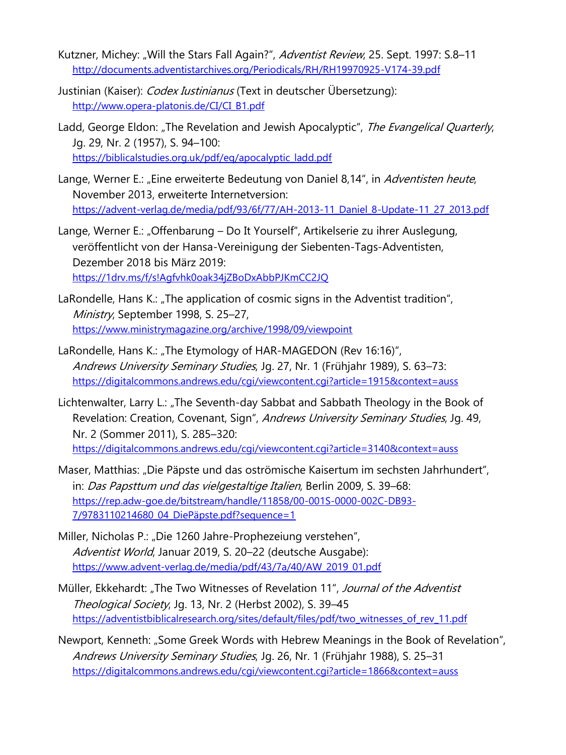- Kutzner, Michey: "Will the Stars Fall Again?", Adventist Review, 25. Sept. 1997: S.8-11 <http://documents.adventistarchives.org/Periodicals/RH/RH19970925-V174-39.pdf>
- Justinian (Kaiser): *Codex Iustinianus* (Text in deutscher Übersetzung): [http://www.opera-platonis.de/CI/CI\\_B1.pdf](http://www.opera-platonis.de/CI/CI_B1.pdf)
- Ladd, George Eldon: "The Revelation and Jewish Apocalyptic", The Evangelical Quarterly, Jg. 29, Nr. 2 (1957), S. 94–100: [https://biblicalstudies.org.uk/pdf/eq/apocalyptic\\_ladd.pdf](https://biblicalstudies.org.uk/pdf/eq/apocalyptic_ladd.pdf)
- Lange, Werner E.: "Eine erweiterte Bedeutung von Daniel 8,14", in Adventisten heute, November 2013, erweiterte Internetversion: [https://advent-verlag.de/media/pdf/93/6f/77/AH-2013-11\\_Daniel\\_8-Update-11\\_27\\_2013.pdf](https://advent-verlag.de/media/pdf/93/6f/77/AH-2013-11_Daniel_8-Update-11_27_2013.pdf)
- Lange, Werner E.: "Offenbarung Do It Yourself", Artikelserie zu ihrer Auslegung, veröffentlicht von der Hansa-Vereinigung der Siebenten-Tags-Adventisten, Dezember 2018 bis März 2019: <https://1drv.ms/f/s!Agfvhk0oak34jZBoDxAbbPJKmCC2JQ>
- LaRondelle, Hans K.: "The application of cosmic signs in the Adventist tradition", Ministry, September 1998, S. 25–27, <https://www.ministrymagazine.org/archive/1998/09/viewpoint>
- LaRondelle, Hans K.: "The Etymology of HAR-MAGEDON (Rev 16:16)", Andrews University Seminary Studies, Jq. 27, Nr. 1 (Frühjahr 1989), S. 63-73: <https://digitalcommons.andrews.edu/cgi/viewcontent.cgi?article=1915&context=auss>
- Lichtenwalter, Larry L.: "The Seventh-day Sabbat and Sabbath Theology in the Book of Revelation: Creation, Covenant, Sign", Andrews University Seminary Studies, Jg. 49, Nr. 2 (Sommer 2011), S. 285–320: <https://digitalcommons.andrews.edu/cgi/viewcontent.cgi?article=3140&context=auss>
- Maser, Matthias: "Die Päpste und das oströmische Kaisertum im sechsten Jahrhundert", in: Das Papsttum und das vielgestaltige Italien, Berlin 2009, S. 39–68: [https://rep.adw-goe.de/bitstream/handle/11858/00-001S-0000-002C-DB93-](https://rep.adw-goe.de/bitstream/handle/11858/00-001S-0000-002C-DB93-7/9783110214680_04_DiePäpste.pdf?sequence=1) [7/9783110214680\\_04\\_DiePäpste.pdf?sequence=1](https://rep.adw-goe.de/bitstream/handle/11858/00-001S-0000-002C-DB93-7/9783110214680_04_DiePäpste.pdf?sequence=1)
- Miller, Nicholas P.: "Die 1260 Jahre-Prophezeiung verstehen", Adventist World, Januar 2019, S. 20–22 (deutsche Ausgabe): [https://www.advent-verlag.de/media/pdf/43/7a/40/AW\\_2019\\_01.pdf](https://www.advent-verlag.de/media/pdf/43/7a/40/AW_2019_01.pdf)
- Müller, Ekkehardt: "The Two Witnesses of Revelation 11", Journal of the Adventist Theological Society, Jg. 13, Nr. 2 (Herbst 2002), S. 39–45 [https://adventistbiblicalresearch.org/sites/default/files/pdf/two\\_witnesses\\_of\\_rev\\_11.pdf](https://adventistbiblicalresearch.org/sites/default/files/pdf/two_witnesses_of_rev_11.pdf)
- Newport, Kenneth: "Some Greek Words with Hebrew Meanings in the Book of Revelation", Andrews University Seminary Studies, Jg. 26, Nr. 1 (Frühjahr 1988), S. 25–31 <https://digitalcommons.andrews.edu/cgi/viewcontent.cgi?article=1866&context=auss>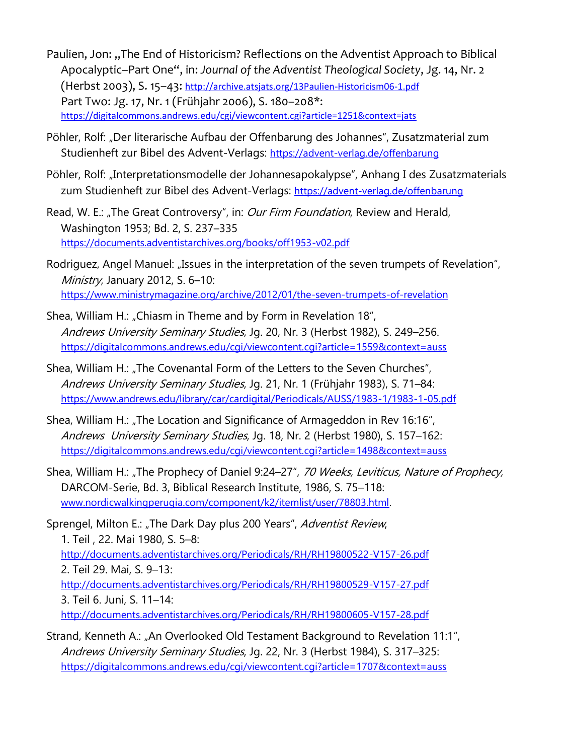- Paulien, Jon: "The End of Historicism? Reflections on the Adventist Approach to Biblical Apocalyptic–Part One", in: *Journal of the Adventist Theological Society*, Jg. 14, Nr. 2 (Herbst 2003), S. 15–43: <http://archive.atsjats.org/13Paulien-Historicism06-1.pdf> Part Two: Jg. 17, Nr. 1 (Frühjahr 2006), S. 180–208\*: <https://digitalcommons.andrews.edu/cgi/viewcontent.cgi?article=1251&context=jats>
- Pöhler, Rolf: "Der literarische Aufbau der Offenbarung des Johannes", Zusatzmaterial zum Studienheft zur Bibel des Advent-Verlags: <https://advent-verlag.de/offenbarung>
- Pöhler, Rolf: "Interpretationsmodelle der Johannesapokalypse", Anhang I des Zusatzmaterials zum Studienheft zur Bibel des Advent-Verlags: <https://advent-verlag.de/offenbarung>
- Read, W. E.: "The Great Controversy", in: *Our Firm Foundation*, Review and Herald, Washington 1953; Bd. 2, S. 237–335 <https://documents.adventistarchives.org/books/off1953-v02.pdf>
- Rodriguez, Angel Manuel: "Issues in the interpretation of the seven trumpets of Revelation", Ministry, January 2012, S. 6-10: <https://www.ministrymagazine.org/archive/2012/01/the-seven-trumpets-of-revelation>
- Shea, William H.: "Chiasm in Theme and by Form in Revelation 18", Andrews University Seminary Studies, Jg. 20, Nr. 3 (Herbst 1982), S. 249–256. <https://digitalcommons.andrews.edu/cgi/viewcontent.cgi?article=1559&context=auss>
- Shea, William H.: "The Covenantal Form of the Letters to the Seven Churches", Andrews University Seminary Studies, Jg. 21, Nr. 1 (Frühjahr 1983), S. 71–84: <https://www.andrews.edu/library/car/cardigital/Periodicals/AUSS/1983-1/1983-1-05.pdf>
- Shea, William H.: "The Location and Significance of Armageddon in Rev 16:16", Andrews University Seminary Studies, Jg. 18, Nr. 2 (Herbst 1980), S. 157–162: <https://digitalcommons.andrews.edu/cgi/viewcontent.cgi?article=1498&context=auss>
- Shea, William H.: "The Prophecy of Daniel 9:24–27", 70 Weeks, Leviticus, Nature of Prophecy, DARCOM-Serie, Bd. 3, Biblical Research Institute, 1986, S. 75–118: [www.nordicwalkingperugia.com/component/k2/itemlist/user/78803.html.](http://www.nordicwalkingperugia.com/component/k2/itemlist/user/78803.html)

Sprengel, Milton E.: "The Dark Day plus 200 Years", Adventist Review, 1. Teil , 22. Mai 1980, S. 5–8: <http://documents.adventistarchives.org/Periodicals/RH/RH19800522-V157-26.pdf> 2. Teil 29. Mai, S. 9–13: <http://documents.adventistarchives.org/Periodicals/RH/RH19800529-V157-27.pdf> 3. Teil 6. Juni, S. 11–14: <http://documents.adventistarchives.org/Periodicals/RH/RH19800605-V157-28.pdf>

Strand, Kenneth A.: "An Overlooked Old Testament Background to Revelation 11:1", Andrews University Seminary Studies, Jg. 22, Nr. 3 (Herbst 1984), S. 317-325: <https://digitalcommons.andrews.edu/cgi/viewcontent.cgi?article=1707&context=auss>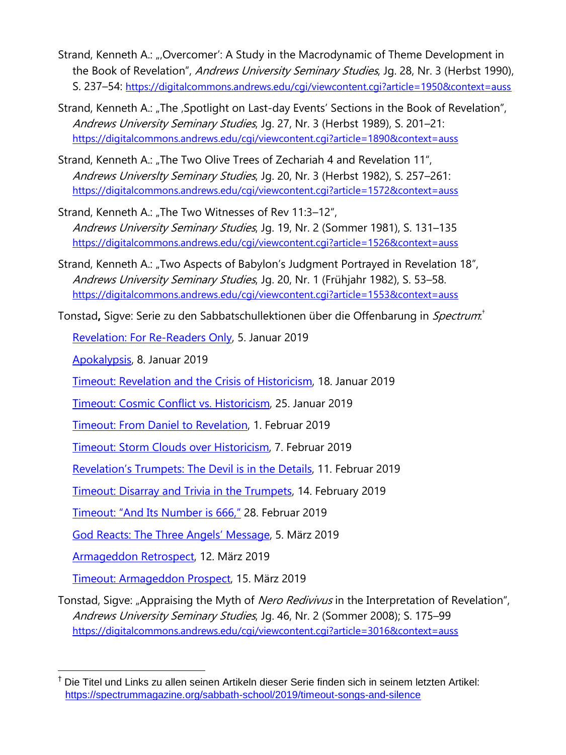- Strand, Kenneth A.: "Overcomer': A Study in the Macrodynamic of Theme Development in the Book of Revelation", Andrews University Seminary Studies, Jg. 28, Nr. 3 (Herbst 1990), S. 237–54: <https://digitalcommons.andrews.edu/cgi/viewcontent.cgi?article=1950&context=auss>
- Strand, Kenneth A.: "The ,Spotlight on Last-day Events' Sections in the Book of Revelation", Andrews University Seminary Studies, Jg. 27, Nr. 3 (Herbst 1989), S. 201–21: <https://digitalcommons.andrews.edu/cgi/viewcontent.cgi?article=1890&context=auss>
- Strand, Kenneth A.: "The Two Olive Trees of Zechariah 4 and Revelation 11", Andrews Universlty Seminary Studies, Jg. 20, Nr. 3 (Herbst 1982), S. 257–261: <https://digitalcommons.andrews.edu/cgi/viewcontent.cgi?article=1572&context=auss>
- Strand, Kenneth A.: "The Two Witnesses of Rev 11:3-12", Andrews University Seminary Studies, Jg. 19, Nr. 2 (Sommer 1981), S. 131–135 <https://digitalcommons.andrews.edu/cgi/viewcontent.cgi?article=1526&context=auss>
- Strand, Kenneth A.: "Two Aspects of Babylon's Judgment Portrayed in Revelation 18", Andrews University Seminary Studies, Jq. 20, Nr. 1 (Frühjahr 1982), S. 53-58. <https://digitalcommons.andrews.edu/cgi/viewcontent.cgi?article=1553&context=auss>

Tonstad**,** Sigve: Serie zu den Sabbatschullektionen über die Offenbarung in *Spectrum*.''

[Revelation: For Re-Readers Only,](https://spectrummagazine.org/sabbath-school/2019/revelation-re-readers-only) 5. Januar 2019

[Apokalypsis,](https://spectrummagazine.org/sabbath-school/2019/apokalypsis) 8. Januar 2019

[Timeout: Revelation and the Crisis of Historicism,](https://spectrummagazine.org/sabbath-school/2019/timeout-revelation-and-crisis-historicism) 18. Januar 2019

[Timeout: Cosmic Conflict vs. Historicism,](https://spectrummagazine.org/sabbath-school/2019/timeout-cosmic-conflict-vs-historicism) 25. Januar 2019

[Timeout: From Daniel to Revelation,](https://spectrummagazine.org/sabbath-school/2019/timeout-daniel-revelation) 1. Februar 2019

[Timeout: Storm Clouds over Historicism,](https://spectrummagazine.org/sabbath-school/2019/timeout-storm-clouds-over-historicism) 7. Februar 2019

[Revelation's Trumpets: The Devil is in the Details](https://spectrummagazine.org/sabbath-school/2019/revelations-trumpets-devil-details), 11. Februar 2019

[Timeout: Disarray and Trivia in the Trumpets,](https://spectrummagazine.org/sabbath-school/2019/timeout-disarray-and-trivia-trumpets) 14. February 2019

[Timeout: "And Its Number is 666,"](https://spectrummagazine.org/sabbath-school/2019/timeout-and-its-number-666) 28. Februar 2019

[God Reacts: The Three Angels' Message](https://spectrummagazine.org/sabbath-school/2019/god-reacts-three-angels-message), 5. März 2019

[Armageddon Retrospect,](https://spectrummagazine.org/sabbath-school/2019/armageddon-retrospect) 12. März 2019

 $\overline{a}$ 

[Timeout: Armageddon Prospect,](https://spectrummagazine.org/sabbath-school/2019/timeout-armageddon-prospect) 15. März 2019

Tonstad, Sigve: "Appraising the Myth of Nero Redivivus in the Interpretation of Revelation", Andrews University Seminary Studies, Jg. 46, Nr. 2 (Sommer 2008); S. 175–99 <https://digitalcommons.andrews.edu/cgi/viewcontent.cgi?article=3016&context=auss>

<sup>†</sup> Die Titel und Links zu allen seinen Artikeln dieser Serie finden sich in seinem letzten Artikel: <https://spectrummagazine.org/sabbath-school/2019/timeout-songs-and-silence>